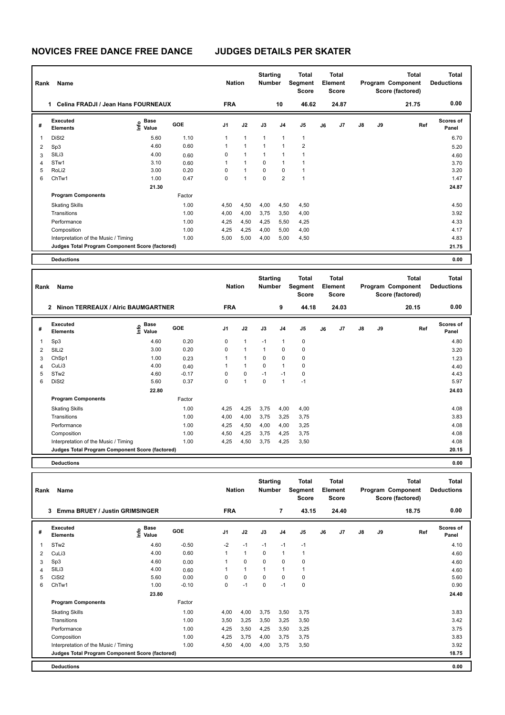| Rank           | Name                                            |                                  |        | <b>Nation</b> |              | <b>Starting</b><br><b>Number</b> |                         | Total<br>Segment<br><b>Score</b> |    | <b>Total</b><br>Element<br><b>Score</b> |               |    | <b>Total</b><br>Program Component<br>Score (factored) | <b>Total</b><br><b>Deductions</b> |
|----------------|-------------------------------------------------|----------------------------------|--------|---------------|--------------|----------------------------------|-------------------------|----------------------------------|----|-----------------------------------------|---------------|----|-------------------------------------------------------|-----------------------------------|
|                | Celina FRADJI / Jean Hans FOURNEAUX<br>1.       |                                  |        | <b>FRA</b>    |              |                                  | 10                      | 46.62                            |    | 24.87                                   |               |    | 21.75                                                 | 0.00                              |
| #              | Executed<br><b>Elements</b>                     | <b>Base</b><br>o Base<br>⊆ Value | GOE    | J1            | J2           | J3                               | J <sub>4</sub>          | J <sub>5</sub>                   | J6 | J7                                      | $\mathsf{J}8$ | J9 | Ref                                                   | <b>Scores of</b><br>Panel         |
| $\mathbf 1$    | DiSt <sub>2</sub>                               | 5.60                             | 1.10   | 1             | $\mathbf{1}$ | $\mathbf{1}$                     | 1                       | 1                                |    |                                         |               |    |                                                       | 6.70                              |
| $\overline{2}$ | Sp3                                             | 4.60                             | 0.60   | $\mathbf{1}$  | $\mathbf{1}$ | $\mathbf{1}$                     | 1                       | $\overline{2}$                   |    |                                         |               |    |                                                       | 5.20                              |
| 3              | SILi3                                           | 4.00                             | 0.60   | 0             | $\mathbf{1}$ | $\mathbf{1}$                     | 1                       | 1                                |    |                                         |               |    |                                                       | 4.60                              |
| $\overline{4}$ | STw1                                            | 3.10                             | 0.60   |               | $\mathbf{1}$ | $\Omega$                         | 1                       | 1                                |    |                                         |               |    |                                                       | 3.70                              |
| 5              | RoLi2                                           | 3.00                             | 0.20   | 0             | 1            | $\Omega$                         | $\Omega$                | $\mathbf{1}$                     |    |                                         |               |    |                                                       | 3.20                              |
| 6              | ChTw1                                           | 1.00                             | 0.47   | 0             | 1            | $\mathbf 0$                      | $\overline{\mathbf{c}}$ | 1                                |    |                                         |               |    |                                                       | 1.47                              |
|                |                                                 | 21.30                            |        |               |              |                                  |                         |                                  |    |                                         |               |    |                                                       | 24.87                             |
|                | <b>Program Components</b>                       |                                  | Factor |               |              |                                  |                         |                                  |    |                                         |               |    |                                                       |                                   |
|                | <b>Skating Skills</b>                           |                                  | 1.00   | 4,50          | 4,50         | 4,00                             | 4,50                    | 4,50                             |    |                                         |               |    |                                                       | 4.50                              |
|                | Transitions                                     |                                  | 1.00   | 4,00          | 4,00         | 3,75                             | 3,50                    | 4,00                             |    |                                         |               |    |                                                       | 3.92                              |
|                | Performance                                     |                                  | 1.00   | 4,25          | 4,50         | 4,25                             | 5,50                    | 4.25                             |    |                                         |               |    |                                                       | 4.33                              |
|                | Composition                                     |                                  | 1.00   | 4,25          | 4,25         | 4,00                             | 5,00                    | 4,00                             |    |                                         |               |    |                                                       | 4.17                              |
|                | Interpretation of the Music / Timing            |                                  | 1.00   | 5,00          | 5,00         | 4,00                             | 5,00                    | 4,50                             |    |                                         |               |    |                                                       | 4.83                              |
|                | Judges Total Program Component Score (factored) |                                  |        |               |              |                                  |                         |                                  |    |                                         |               |    |                                                       | 21.75                             |
|                | <b>Deductions</b>                               |                                  |        |               |              |                                  |                         |                                  |    |                                         |               |    |                                                       | 0.00                              |

| Rank | Name                                               |                           |         | <b>Nation</b> |              | <b>Starting</b><br><b>Number</b> |                | <b>Total</b><br>Segment<br><b>Score</b> |    | <b>Total</b><br>Element<br><b>Score</b> |               |    | Total<br>Program Component<br>Score (factored) | Total<br><b>Deductions</b> |
|------|----------------------------------------------------|---------------------------|---------|---------------|--------------|----------------------------------|----------------|-----------------------------------------|----|-----------------------------------------|---------------|----|------------------------------------------------|----------------------------|
|      | Ninon TERREAUX / Alric BAUMGARTNER<br>$\mathbf{2}$ |                           |         | <b>FRA</b>    |              |                                  | 9              | 44.18                                   |    | 24.03                                   |               |    | 20.15                                          | 0.00                       |
| #    | Executed<br><b>Elements</b>                        | <b>Base</b><br>۴<br>Value | GOE     | J1            | J2           | J3                               | J <sub>4</sub> | J <sub>5</sub>                          | J6 | J7                                      | $\mathsf{J}8$ | J9 | Ref                                            | <b>Scores of</b><br>Panel  |
|      | Sp3                                                | 4.60                      | 0.20    | 0             | $\mathbf{1}$ | $-1$                             | 1              | $\mathbf 0$                             |    |                                         |               |    |                                                | 4.80                       |
| 2    | SILi2                                              | 3.00                      | 0.20    | 0             | 1            | $\mathbf 1$                      | 0              | $\mathbf 0$                             |    |                                         |               |    |                                                | 3.20                       |
| 3    | ChSp1                                              | 1.00                      | 0.23    | $\mathbf{1}$  | $\mathbf{1}$ | $\Omega$                         | 0              | 0                                       |    |                                         |               |    |                                                | 1.23                       |
| 4    | CuLi3                                              | 4.00                      | 0.40    | $\mathbf{1}$  | $\mathbf{1}$ | $\mathbf 0$                      |                | 0                                       |    |                                         |               |    |                                                | 4.40                       |
| 5    | STw <sub>2</sub>                                   | 4.60                      | $-0.17$ | 0             | $\mathbf 0$  | $-1$                             | $-1$           | 0                                       |    |                                         |               |    |                                                | 4.43                       |
| 6    | DiSt <sub>2</sub>                                  | 5.60                      | 0.37    | 0             | 1            | $\Omega$                         |                | $-1$                                    |    |                                         |               |    |                                                | 5.97                       |
|      |                                                    | 22.80                     |         |               |              |                                  |                |                                         |    |                                         |               |    |                                                | 24.03                      |
|      | <b>Program Components</b>                          |                           | Factor  |               |              |                                  |                |                                         |    |                                         |               |    |                                                |                            |
|      | <b>Skating Skills</b>                              |                           | 1.00    | 4,25          | 4,25         | 3,75                             | 4,00           | 4,00                                    |    |                                         |               |    |                                                | 4.08                       |
|      | Transitions                                        |                           | 1.00    | 4,00          | 4,00         | 3,75                             | 3,25           | 3,75                                    |    |                                         |               |    |                                                | 3.83                       |
|      | Performance                                        |                           | 1.00    | 4,25          | 4,50         | 4,00                             | 4,00           | 3,25                                    |    |                                         |               |    |                                                | 4.08                       |
|      | Composition                                        |                           | 1.00    | 4,50          | 4,25         | 3,75                             | 4,25           | 3,75                                    |    |                                         |               |    |                                                | 4.08                       |
|      | Interpretation of the Music / Timing               |                           | 1.00    | 4,25          | 4,50         | 3,75                             | 4,25           | 3,50                                    |    |                                         |               |    |                                                | 4.08                       |
|      | Judges Total Program Component Score (factored)    |                           |         |               |              |                                  |                |                                         |    |                                         |               |    |                                                | 20.15                      |
|      | <b>Deductions</b>                                  |                           |         |               |              |                                  |                |                                         |    |                                         |               |    |                                                | 0.00                       |

| Rank           | Name                                            |                                             |         | <b>Nation</b> |              | <b>Starting</b><br><b>Number</b> |                | <b>Total</b><br>Segment<br>Score |    | <b>Total</b><br>Element<br><b>Score</b> |               |    | <b>Total</b><br>Program Component<br>Score (factored) | <b>Total</b><br><b>Deductions</b> |
|----------------|-------------------------------------------------|---------------------------------------------|---------|---------------|--------------|----------------------------------|----------------|----------------------------------|----|-----------------------------------------|---------------|----|-------------------------------------------------------|-----------------------------------|
|                | Emma BRUEY / Justin GRIMSINGER<br>3             |                                             |         | <b>FRA</b>    |              |                                  | $\overline{7}$ | 43.15                            |    | 24.40                                   |               |    | 18.75                                                 | 0.00                              |
| #              | Executed<br><b>Elements</b>                     | <b>Base</b><br>e <sup>Base</sup><br>⊆ Value | GOE     | J1            | J2           | J3                               | J <sub>4</sub> | J5                               | J6 | J7                                      | $\mathsf{J}8$ | J9 | Ref                                                   | Scores of<br>Panel                |
| 1              | STw <sub>2</sub>                                | 4.60                                        | $-0.50$ | $-2$          | $-1$         | $-1$                             | $-1$           | $-1$                             |    |                                         |               |    |                                                       | 4.10                              |
| $\overline{2}$ | CuLi3                                           | 4.00                                        | 0.60    | 1             | $\mathbf{1}$ | $\mathbf 0$                      | 1              | 1                                |    |                                         |               |    |                                                       | 4.60                              |
| 3              | Sp3                                             | 4.60                                        | 0.00    | 1             | 0            | $\Omega$                         | 0              | 0                                |    |                                         |               |    |                                                       | 4.60                              |
| 4              | SILi3                                           | 4.00                                        | 0.60    | 1             | $\mathbf{1}$ | $\mathbf{1}$                     | 1              | 1                                |    |                                         |               |    |                                                       | 4.60                              |
| 5              | CiSt <sub>2</sub>                               | 5.60                                        | 0.00    | 0             | 0            | $\Omega$                         | $\Omega$       | 0                                |    |                                         |               |    |                                                       | 5.60                              |
| 6              | ChTw1                                           | 1.00                                        | $-0.10$ | 0             | $-1$         | $\mathbf 0$                      | $-1$           | $\mathbf 0$                      |    |                                         |               |    |                                                       | 0.90                              |
|                |                                                 | 23.80                                       |         |               |              |                                  |                |                                  |    |                                         |               |    |                                                       | 24.40                             |
|                | <b>Program Components</b>                       |                                             | Factor  |               |              |                                  |                |                                  |    |                                         |               |    |                                                       |                                   |
|                | <b>Skating Skills</b>                           |                                             | 1.00    | 4,00          | 4,00         | 3,75                             | 3,50           | 3.75                             |    |                                         |               |    |                                                       | 3.83                              |
|                | Transitions                                     |                                             | 1.00    | 3,50          | 3,25         | 3,50                             | 3,25           | 3,50                             |    |                                         |               |    |                                                       | 3.42                              |
|                | Performance                                     |                                             | 1.00    | 4,25          | 3,50         | 4,25                             | 3,50           | 3,25                             |    |                                         |               |    |                                                       | 3.75                              |
|                | Composition                                     |                                             | 1.00    | 4,25          | 3,75         | 4,00                             | 3,75           | 3,75                             |    |                                         |               |    |                                                       | 3.83                              |
|                | Interpretation of the Music / Timing            |                                             | 1.00    | 4,50          | 4,00         | 4,00                             | 3,75           | 3,50                             |    |                                         |               |    |                                                       | 3.92                              |
|                | Judges Total Program Component Score (factored) |                                             |         |               |              |                                  |                |                                  |    |                                         |               |    |                                                       | 18.75                             |
|                | <b>Deductions</b>                               |                                             |         |               |              |                                  |                |                                  |    |                                         |               |    |                                                       | 0.00                              |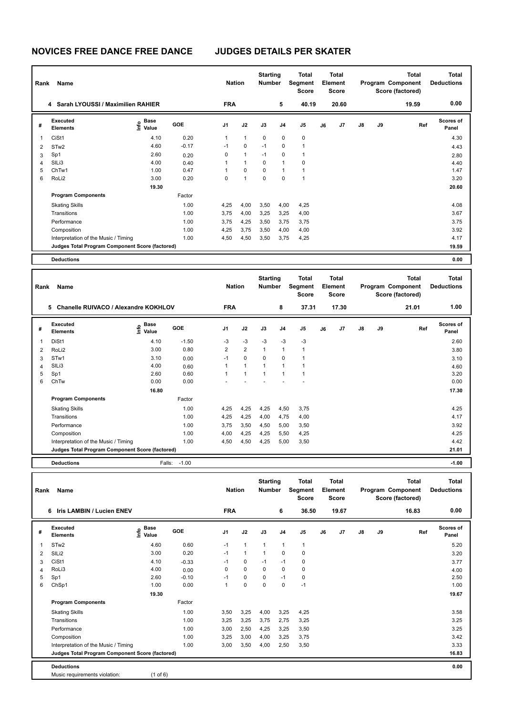| Rank           | Name                                            |                                  |         | <b>Nation</b> |              | <b>Starting</b><br><b>Number</b> |                | <b>Total</b><br>Segment<br><b>Score</b> |    | Total<br>Element<br><b>Score</b> |               |    | <b>Total</b><br>Program Component<br>Score (factored) | Total<br><b>Deductions</b> |
|----------------|-------------------------------------------------|----------------------------------|---------|---------------|--------------|----------------------------------|----------------|-----------------------------------------|----|----------------------------------|---------------|----|-------------------------------------------------------|----------------------------|
|                | 4 Sarah LYOUSSI / Maximilien RAHIER             |                                  |         | <b>FRA</b>    |              |                                  | 5              | 40.19                                   |    | 20.60                            |               |    | 19.59                                                 | 0.00                       |
| #              | Executed<br><b>Elements</b>                     | <b>Base</b><br>e Base<br>⊆ Value | GOE     | J1            | J2           | J3                               | J <sub>4</sub> | J <sub>5</sub>                          | J6 | J <sub>7</sub>                   | $\mathsf{J}8$ | J9 | Ref                                                   | <b>Scores of</b><br>Panel  |
| 1              | CiSt1                                           | 4.10                             | 0.20    | 1             | $\mathbf{1}$ | $\mathbf 0$                      | 0              | $\mathbf 0$                             |    |                                  |               |    |                                                       | 4.30                       |
| $\overline{2}$ | STw <sub>2</sub>                                | 4.60                             | $-0.17$ | $-1$          | 0            | $-1$                             | 0              | 1                                       |    |                                  |               |    |                                                       | 4.43                       |
| 3              | Sp1                                             | 2.60                             | 0.20    | 0             | $\mathbf{1}$ | $-1$                             | $\mathbf 0$    | $\mathbf{1}$                            |    |                                  |               |    |                                                       | 2.80                       |
| 4              | SILi3                                           | 4.00                             | 0.40    |               | $\mathbf{1}$ | $\Omega$                         | 1              | $\mathbf 0$                             |    |                                  |               |    |                                                       | 4.40                       |
| 5              | ChTw1                                           | 1.00                             | 0.47    |               | 0            | $\mathbf 0$                      | 1              | 1                                       |    |                                  |               |    |                                                       | 1.47                       |
| 6              | RoLi2                                           | 3.00                             | 0.20    | 0             | $\mathbf{1}$ | $\mathbf 0$                      | $\Omega$       | $\mathbf{1}$                            |    |                                  |               |    |                                                       | 3.20                       |
|                |                                                 | 19.30                            |         |               |              |                                  |                |                                         |    |                                  |               |    |                                                       | 20.60                      |
|                | <b>Program Components</b>                       |                                  | Factor  |               |              |                                  |                |                                         |    |                                  |               |    |                                                       |                            |
|                | <b>Skating Skills</b>                           |                                  | 1.00    | 4,25          | 4,00         | 3,50                             | 4,00           | 4,25                                    |    |                                  |               |    |                                                       | 4.08                       |
|                | Transitions                                     |                                  | 1.00    | 3,75          | 4,00         | 3,25                             | 3,25           | 4,00                                    |    |                                  |               |    |                                                       | 3.67                       |
|                | Performance                                     |                                  | 1.00    | 3,75          | 4,25         | 3,50                             | 3,75           | 3,75                                    |    |                                  |               |    |                                                       | 3.75                       |
|                | Composition                                     |                                  | 1.00    | 4,25          | 3,75         | 3,50                             | 4,00           | 4,00                                    |    |                                  |               |    |                                                       | 3.92                       |
|                | Interpretation of the Music / Timing            |                                  | 1.00    | 4,50          | 4,50         | 3,50                             | 3,75           | 4,25                                    |    |                                  |               |    |                                                       | 4.17                       |
|                | Judges Total Program Component Score (factored) |                                  |         |               |              |                                  |                |                                         |    |                                  |               |    |                                                       | 19.59                      |
|                | <b>Deductions</b>                               |                                  |         |               |              |                                  |                |                                         |    |                                  |               |    |                                                       | 0.00                       |

| Rank | <b>Name</b>                                     |                                             |            | <b>Nation</b> |                | <b>Starting</b><br>Number |                | Total<br>Segment<br><b>Score</b> |    | Total<br>Element<br><b>Score</b> |    |    | <b>Total</b><br>Program Component<br>Score (factored) | <b>Total</b><br><b>Deductions</b> |
|------|-------------------------------------------------|---------------------------------------------|------------|---------------|----------------|---------------------------|----------------|----------------------------------|----|----------------------------------|----|----|-------------------------------------------------------|-----------------------------------|
|      | Chanelle RUIVACO / Alexandre KOKHLOV<br>5       |                                             |            | <b>FRA</b>    |                |                           | 8              | 37.31                            |    | 17.30                            |    |    | 21.01                                                 | 1.00                              |
| #    | <b>Executed</b><br><b>Elements</b>              | <b>Base</b><br>е <sup>Ваѕе</sup><br>⊆ Value | <b>GOE</b> | J1            | J2             | J3                        | J <sub>4</sub> | J <sub>5</sub>                   | J6 | J <sub>7</sub>                   | J8 | J9 | Ref                                                   | <b>Scores of</b><br>Panel         |
| 1    | DiSt1                                           | 4.10                                        | $-1.50$    | -3            | $-3$           | $-3$                      | $-3$           | $-3$                             |    |                                  |    |    |                                                       | 2.60                              |
| 2    | RoLi <sub>2</sub>                               | 3.00                                        | 0.80       | 2             | $\overline{2}$ | $\mathbf{1}$              | 1              | 1                                |    |                                  |    |    |                                                       | 3.80                              |
| 3    | STw1                                            | 3.10                                        | 0.00       | $-1$          | $\mathbf 0$    | 0                         | 0              |                                  |    |                                  |    |    |                                                       | 3.10                              |
| 4    | SILi3                                           | 4.00                                        | 0.60       |               | 1              | $\overline{1}$            |                |                                  |    |                                  |    |    |                                                       | 4.60                              |
| 5    | Sp1                                             | 2.60                                        | 0.60       | 1             | $\overline{1}$ | $\overline{1}$            |                |                                  |    |                                  |    |    |                                                       | 3.20                              |
| 6    | ChTw                                            | 0.00                                        | 0.00       |               |                |                           |                |                                  |    |                                  |    |    |                                                       | 0.00                              |
|      |                                                 | 16.80                                       |            |               |                |                           |                |                                  |    |                                  |    |    |                                                       | 17.30                             |
|      | <b>Program Components</b>                       |                                             | Factor     |               |                |                           |                |                                  |    |                                  |    |    |                                                       |                                   |
|      | <b>Skating Skills</b>                           |                                             | 1.00       | 4,25          | 4,25           | 4,25                      | 4,50           | 3,75                             |    |                                  |    |    |                                                       | 4.25                              |
|      | Transitions                                     |                                             | 1.00       | 4,25          | 4,25           | 4,00                      | 4,75           | 4,00                             |    |                                  |    |    |                                                       | 4.17                              |
|      | Performance                                     |                                             | 1.00       | 3,75          | 3,50           | 4,50                      | 5,00           | 3,50                             |    |                                  |    |    |                                                       | 3.92                              |
|      | Composition                                     |                                             | 1.00       | 4,00          | 4,25           | 4,25                      | 5,50           | 4,25                             |    |                                  |    |    |                                                       | 4.25                              |
|      | Interpretation of the Music / Timing            |                                             | 1.00       | 4,50          | 4,50           | 4,25                      | 5,00           | 3,50                             |    |                                  |    |    |                                                       | 4.42                              |
|      | Judges Total Program Component Score (factored) |                                             |            |               |                |                           |                |                                  |    |                                  |    |    |                                                       | 21.01                             |
|      | <b>Deductions</b>                               | Falls:                                      | $-1.00$    |               |                |                           |                |                                  |    |                                  |    |    |                                                       | $-1.00$                           |

| Rank | Name                                            |                              |         | <b>Nation</b> |              | <b>Starting</b><br>Number |      | <b>Total</b><br>Segment<br><b>Score</b> |    | Total<br>Element<br><b>Score</b> |               |    | <b>Total</b><br>Program Component<br>Score (factored) | <b>Total</b><br><b>Deductions</b> |
|------|-------------------------------------------------|------------------------------|---------|---------------|--------------|---------------------------|------|-----------------------------------------|----|----------------------------------|---------------|----|-------------------------------------------------------|-----------------------------------|
|      | <b>Iris LAMBIN / Lucien ENEV</b><br>6           |                              |         | <b>FRA</b>    |              |                           | 6    | 36.50                                   |    | 19.67                            |               |    | 16.83                                                 | 0.00                              |
| #    | <b>Executed</b><br><b>Elements</b>              | <b>Base</b><br>lnfo<br>Value | GOE     | J1            | J2           | J3                        | J4   | J5                                      | J6 | J <sub>7</sub>                   | $\mathsf{J}8$ | J9 | Ref                                                   | <b>Scores of</b><br>Panel         |
| 1    | STw <sub>2</sub>                                | 4.60                         | 0.60    | $-1$          | 1            | $\mathbf{1}$              | 1    | $\mathbf{1}$                            |    |                                  |               |    |                                                       | 5.20                              |
| 2    | SILi2                                           | 3.00                         | 0.20    | $-1$          | $\mathbf{1}$ | $\mathbf{1}$              | 0    | $\mathbf 0$                             |    |                                  |               |    |                                                       | 3.20                              |
| 3    | CiSt1                                           | 4.10                         | $-0.33$ | $-1$          | 0            | $-1$                      | $-1$ | 0                                       |    |                                  |               |    |                                                       | 3.77                              |
| 4    | RoLi3                                           | 4.00                         | 0.00    | 0             | 0            | 0                         | 0    | 0                                       |    |                                  |               |    |                                                       | 4.00                              |
| 5    | Sp1                                             | 2.60                         | $-0.10$ | $-1$          | 0            | 0                         | $-1$ | 0                                       |    |                                  |               |    |                                                       | 2.50                              |
| 6    | ChSp1                                           | 1.00                         | 0.00    | 1             | $\mathbf 0$  | $\mathbf 0$               | 0    | $-1$                                    |    |                                  |               |    |                                                       | 1.00                              |
|      |                                                 | 19.30                        |         |               |              |                           |      |                                         |    |                                  |               |    |                                                       | 19.67                             |
|      | <b>Program Components</b>                       |                              | Factor  |               |              |                           |      |                                         |    |                                  |               |    |                                                       |                                   |
|      | <b>Skating Skills</b>                           |                              | 1.00    | 3,50          | 3,25         | 4,00                      | 3,25 | 4,25                                    |    |                                  |               |    |                                                       | 3.58                              |
|      | Transitions                                     |                              | 1.00    | 3,25          | 3,25         | 3,75                      | 2,75 | 3,25                                    |    |                                  |               |    |                                                       | 3.25                              |
|      | Performance                                     |                              | 1.00    | 3,00          | 2,50         | 4,25                      | 3,25 | 3,50                                    |    |                                  |               |    |                                                       | 3.25                              |
|      | Composition                                     |                              | 1.00    | 3,25          | 3.00         | 4,00                      | 3.25 | 3.75                                    |    |                                  |               |    |                                                       | 3.42                              |
|      | Interpretation of the Music / Timing            |                              | 1.00    | 3,00          | 3,50         | 4,00                      | 2,50 | 3,50                                    |    |                                  |               |    |                                                       | 3.33                              |
|      | Judges Total Program Component Score (factored) |                              |         |               |              |                           |      |                                         |    |                                  |               |    |                                                       | 16.83                             |
|      | <b>Deductions</b>                               |                              |         |               |              |                           |      |                                         |    |                                  |               |    |                                                       | 0.00                              |
|      | Music requirements violation:                   | $(1$ of 6)                   |         |               |              |                           |      |                                         |    |                                  |               |    |                                                       |                                   |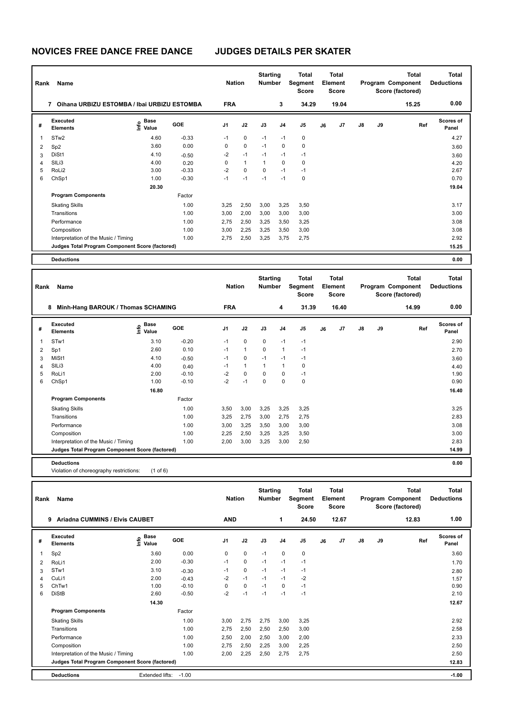| Rank                    | Name                                             |                                  |         | <b>Nation</b>        |      | <b>Starting</b><br><b>Number</b>    |                | <b>Total</b><br>Segment<br><b>Score</b> |     | <b>Total</b><br>Element<br><b>Score</b> |               |    | <b>Total</b><br>Program Component<br>Score (factored) | <b>Total</b><br><b>Deductions</b> |
|-------------------------|--------------------------------------------------|----------------------------------|---------|----------------------|------|-------------------------------------|----------------|-----------------------------------------|-----|-----------------------------------------|---------------|----|-------------------------------------------------------|-----------------------------------|
|                         | Oihana URBIZU ESTOMBA / Ibai URBIZU ESTOMBA<br>7 |                                  |         | <b>FRA</b>           |      |                                     | 3              | 34.29                                   |     | 19.04                                   |               |    | 15.25                                                 | 0.00                              |
| #                       | Executed<br><b>Elements</b>                      | <b>Base</b><br>e Base<br>⊆ Value | GOE     | J1                   | J2   | J3                                  | J <sub>4</sub> | J <sub>5</sub>                          | J6  | J <sub>7</sub>                          | $\mathsf{J}8$ | J9 | Ref                                                   | Scores of<br>Panel                |
| $\overline{\mathbf{1}}$ | STw <sub>2</sub>                                 | 4.60                             | $-0.33$ | $-1$                 | 0    | $-1$                                | $-1$           | $\mathbf 0$                             |     |                                         |               |    |                                                       | 4.27                              |
| 2                       | Sp <sub>2</sub>                                  | 3.60                             | 0.00    | 0                    | 0    | $-1$                                | 0              | $\mathbf 0$                             |     |                                         |               |    |                                                       | 3.60                              |
| 3                       | DiSt1                                            | 4.10                             | $-0.50$ | $-2$                 | $-1$ | $-1$                                | $-1$           | $-1$                                    |     |                                         |               |    |                                                       | 3.60                              |
| 4                       | SIL <sub>i3</sub>                                | 4.00                             | 0.20    | 0                    | 1    | $\mathbf{1}$                        | $\Omega$       | $\mathbf 0$                             |     |                                         |               |    |                                                       | 4.20                              |
| 5                       | RoLi <sub>2</sub>                                | 3.00                             | $-0.33$ | $-2$                 | 0    | $\Omega$                            | $-1$           | $-1$                                    |     |                                         |               |    |                                                       | 2.67                              |
| 6                       | ChSp1                                            | 1.00                             | $-0.30$ | $-1$                 | $-1$ | $-1$                                | $-1$           | 0                                       |     |                                         |               |    |                                                       | 0.70                              |
|                         |                                                  | 20.30                            |         |                      |      |                                     |                |                                         |     |                                         |               |    |                                                       | 19.04                             |
|                         | <b>Program Components</b>                        |                                  | Factor  |                      |      |                                     |                |                                         |     |                                         |               |    |                                                       |                                   |
|                         | <b>Skating Skills</b>                            |                                  | 1.00    | 3,25                 | 2,50 | 3,00                                | 3,25           | 3,50                                    |     |                                         |               |    |                                                       | 3.17                              |
|                         | Transitions                                      |                                  | 1.00    | 3,00                 | 2,00 | 3,00                                | 3,00           | 3,00                                    |     |                                         |               |    |                                                       | 3.00                              |
|                         | Performance                                      |                                  | 1.00    | 2,75                 | 2,50 | 3,25                                | 3,50           | 3,25                                    |     |                                         |               |    |                                                       | 3.08                              |
|                         | Composition                                      |                                  | 1.00    | 3,00                 | 2,25 | 3,25                                | 3,50           | 3,00                                    |     |                                         |               |    |                                                       | 3.08                              |
|                         | Interpretation of the Music / Timing             |                                  | 1.00    | 2.75                 | 2,50 | 3,25                                | 3,75           | 2,75                                    |     |                                         |               |    |                                                       | 2.92                              |
|                         | Judges Total Program Component Score (factored)  |                                  |         |                      |      |                                     |                |                                         |     |                                         |               |    |                                                       | 15.25                             |
|                         | <b>Deductions</b>                                |                                  |         |                      |      |                                     |                |                                         |     |                                         |               |    |                                                       | 0.00                              |
|                         | .                                                |                                  |         | <b><i>BRANCH</i></b> |      | <b>Starting</b><br><b>ALC: 1999</b> |                | <b>Total</b><br>$\sim$                  | - 1 | <b>Total</b>                            |               |    | <b>Total</b>                                          | <b>Total</b>                      |

| Rank | Name                                            |                                             |         | <b>Nation</b> |              | Number      |                | 1 vw<br>Segment<br><b>Score</b> |    | .<br>Element<br>Score |               |    | <br>Program Component<br>Score (factored) | 1 vw<br><b>Deductions</b> |  |
|------|-------------------------------------------------|---------------------------------------------|---------|---------------|--------------|-------------|----------------|---------------------------------|----|-----------------------|---------------|----|-------------------------------------------|---------------------------|--|
|      | Minh-Hang BAROUK / Thomas SCHAMING<br>8         |                                             |         | <b>FRA</b>    |              |             | 4              | 31.39                           |    | 16.40                 |               |    | 14.99                                     | 0.00                      |  |
| #    | <b>Executed</b><br><b>Elements</b>              | <b>Base</b><br>e <sup>Base</sup><br>⊆ Value | GOE     | J1            | J2           | J3          | J <sub>4</sub> | J <sub>5</sub>                  | J6 | J7                    | $\mathsf{J}8$ | J9 | Ref                                       | <b>Scores of</b><br>Panel |  |
|      | STw1                                            | 3.10                                        | $-0.20$ | $-1$          | $\mathbf 0$  | $\mathbf 0$ | $-1$           | $-1$                            |    |                       |               |    |                                           | 2.90                      |  |
| 2    | Sp1                                             | 2.60                                        | 0.10    | $-1$          | $\mathbf{1}$ | 0           |                | $-1$                            |    |                       |               |    |                                           | 2.70                      |  |
| 3    | MiSt1                                           | 4.10                                        | $-0.50$ | $-1$          | 0            | $-1$        | $-1$           | $-1$                            |    |                       |               |    |                                           | 3.60                      |  |
| 4    | SIL <sub>i3</sub>                               | 4.00                                        | 0.40    | $-1$          | 1            |             |                | $\mathbf 0$                     |    |                       |               |    |                                           | 4.40                      |  |
| 5    | RoLi1                                           | 2.00                                        | $-0.10$ | -2            | 0            | $\Omega$    | 0              | $-1$                            |    |                       |               |    |                                           | 1.90                      |  |
| 6    | ChSp1                                           | 1.00                                        | $-0.10$ | $-2$          | $-1$         | $\Omega$    | $\Omega$       | $\mathbf 0$                     |    |                       |               |    |                                           | 0.90                      |  |
|      |                                                 | 16.80                                       |         |               |              |             |                |                                 |    |                       |               |    |                                           | 16.40                     |  |
|      | <b>Program Components</b>                       |                                             | Factor  |               |              |             |                |                                 |    |                       |               |    |                                           |                           |  |
|      | <b>Skating Skills</b>                           |                                             | 1.00    | 3,50          | 3,00         | 3,25        | 3,25           | 3,25                            |    |                       |               |    |                                           | 3.25                      |  |
|      | Transitions                                     |                                             | 1.00    | 3,25          | 2,75         | 3,00        | 2,75           | 2,75                            |    |                       |               |    |                                           | 2.83                      |  |
|      | Performance                                     |                                             | 1.00    | 3,00          | 3,25         | 3,50        | 3,00           | 3,00                            |    |                       |               |    |                                           | 3.08                      |  |
|      | Composition                                     |                                             | 1.00    | 2,25          | 2,50         | 3,25        | 3,25           | 3,50                            |    |                       |               |    |                                           | 3.00                      |  |
|      | Interpretation of the Music / Timing            |                                             | 1.00    | 2,00          | 3,00         | 3,25        | 3,00           | 2,50                            |    |                       |               |    |                                           | 2.83                      |  |
|      | Judges Total Program Component Score (factored) |                                             |         |               |              |             |                |                                 |    |                       |               |    |                                           | 14.99                     |  |
|      | <b>Deductions</b>                               |                                             |         |               |              |             |                |                                 |    |                       |               |    |                                           | 0.00                      |  |

Violation of choreography restrictions: (1 of 6)

| Rank | Name                                            |                                  |         | <b>Nation</b>  |             | <b>Starting</b><br><b>Number</b> |                | <b>Total</b><br>Segment<br>Score |    | Total<br>Element<br><b>Score</b> |               |    | <b>Total</b><br>Program Component<br>Score (factored) | Total<br><b>Deductions</b> |
|------|-------------------------------------------------|----------------------------------|---------|----------------|-------------|----------------------------------|----------------|----------------------------------|----|----------------------------------|---------------|----|-------------------------------------------------------|----------------------------|
|      | Ariadna CUMMINS / Elvis CAUBET<br>9             |                                  |         | <b>AND</b>     |             |                                  | 1              | 24.50                            |    | 12.67                            |               |    | 12.83                                                 | 1.00                       |
| #    | Executed<br><b>Elements</b>                     | <b>Base</b><br>e Base<br>⊆ Value | GOE     | J <sub>1</sub> | J2          | J3                               | J <sub>4</sub> | J <sub>5</sub>                   | J6 | J <sub>7</sub>                   | $\mathsf{J}8$ | J9 | Ref                                                   | <b>Scores of</b><br>Panel  |
| 1    | Sp <sub>2</sub>                                 | 3.60                             | 0.00    | 0              | $\mathbf 0$ | $-1$                             | 0              | $\pmb{0}$                        |    |                                  |               |    |                                                       | 3.60                       |
| 2    | RoLi1                                           | 2.00                             | $-0.30$ | $-1$           | 0           | $-1$                             | $-1$           | $-1$                             |    |                                  |               |    |                                                       | 1.70                       |
| 3    | STw1                                            | 3.10                             | $-0.30$ | $-1$           | 0           | $-1$                             | $-1$           | $-1$                             |    |                                  |               |    |                                                       | 2.80                       |
| 4    | CuLi1                                           | 2.00                             | $-0.43$ | $-2$           | $-1$        | $-1$                             | $-1$           | $-2$                             |    |                                  |               |    |                                                       | 1.57                       |
| 5    | ChTw1                                           | 1.00                             | $-0.10$ | 0              | $\mathbf 0$ | $-1$                             | $\Omega$       | $-1$                             |    |                                  |               |    |                                                       | 0.90                       |
| 6    | <b>DiStB</b>                                    | 2.60                             | $-0.50$ | $-2$           | $-1$        | $-1$                             | $-1$           | $-1$                             |    |                                  |               |    |                                                       | 2.10                       |
|      |                                                 | 14.30                            |         |                |             |                                  |                |                                  |    |                                  |               |    |                                                       | 12.67                      |
|      | <b>Program Components</b>                       |                                  | Factor  |                |             |                                  |                |                                  |    |                                  |               |    |                                                       |                            |
|      | <b>Skating Skills</b>                           |                                  | 1.00    | 3,00           | 2,75        | 2,75                             | 3,00           | 3,25                             |    |                                  |               |    |                                                       | 2.92                       |
|      | Transitions                                     |                                  | 1.00    | 2,75           | 2,50        | 2,50                             | 2,50           | 3,00                             |    |                                  |               |    |                                                       | 2.58                       |
|      | Performance                                     |                                  | 1.00    | 2,50           | 2,00        | 2,50                             | 3,00           | 2,00                             |    |                                  |               |    |                                                       | 2.33                       |
|      | Composition                                     |                                  | 1.00    | 2,75           | 2,50        | 2,25                             | 3,00           | 2,25                             |    |                                  |               |    |                                                       | 2.50                       |
|      | Interpretation of the Music / Timing            |                                  | 1.00    | 2,00           | 2,25        | 2,50                             | 2,75           | 2,75                             |    |                                  |               |    |                                                       | 2.50                       |
|      | Judges Total Program Component Score (factored) |                                  |         |                |             |                                  |                |                                  |    |                                  |               |    |                                                       | 12.83                      |
|      | <b>Deductions</b>                               | Extended lifts:                  | $-1.00$ |                |             |                                  |                |                                  |    |                                  |               |    |                                                       | $-1.00$                    |